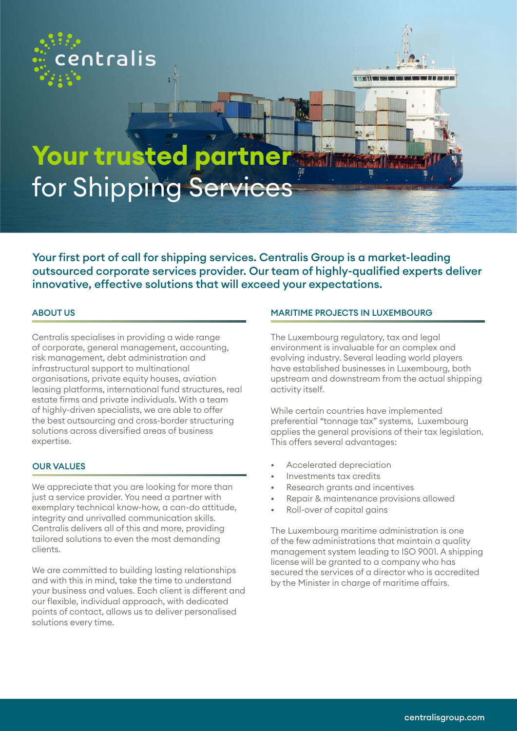



# **Your trusted partner**  for Shipping Services

Your first port of call for shipping services. Centralis Group is a market-leading outsourced corporate services provider. Our team of highly-qualified experts deliver innovative, effective solutions that will exceed your expectations.

Centralis specialises in providing a wide range of corporate, general management, accounting, risk management, debt administration and infrastructural support to multinational organisations, private equity houses, aviation leasing platforms, international fund structures, real estate firms and private individuals. With a team of highly-driven specialists, we are able to offer the best outsourcing and cross-border structuring solutions across diversified areas of business expertise.

### OUR VALUES

We appreciate that you are looking for more than just a service provider. You need a partner with exemplary technical know-how, a can-do attitude, integrity and unrivalled communication skills. Centralis delivers all of this and more, providing tailored solutions to even the most demanding clients.

We are committed to building lasting relationships and with this in mind, take the time to understand your business and values. Each client is different and our flexible, individual approach, with dedicated points of contact, allows us to deliver personalised solutions every time.

#### ABOUT US MARITIME PROJECTS IN LUXEMBOURG

The Luxembourg regulatory, tax and legal environment is invaluable for an complex and evolving industry. Several leading world players have established businesses in Luxembourg, both upstream and downstream from the actual shipping activity itself.

While certain countries have implemented preferential "tonnage tax" systems, Luxembourg applies the general provisions of their tax legislation. This offers several advantages:

- Accelerated depreciation
- Investments tax credits
- Research arants and incentives
- Repair & maintenance provisions allowed
- Roll-over of capital gains

The Luxembourg maritime administration is one of the few administrations that maintain a quality management system leading to ISO 9001. A shipping license will be granted to a company who has secured the services of a director who is accredited by the Minister in charge of maritime affairs.